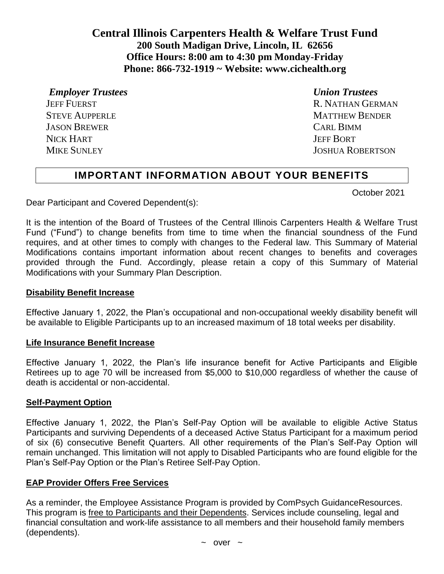**Central Illinois Carpenters Health & Welfare Trust Fund 200 South Madigan Drive, Lincoln, IL 62656 Office Hours: 8:00 am to 4:30 pm Monday-Friday Phone: 866-732-1919 ~ Website: [www.cichealth.org](http://www.cichealth.org/)**

*Employer Trustees Union Trustees*

 JASON BREWER CARL BIMM NICK HART **In the ULL AND SERVICE SERVICE SERVICE SERVICE SERVICE SERVICE SERVICE SERVICE SERVICE SERVICE SERVICE** 

JEFF FUERST R. NATHAN GERMAN STEVE AUPPERLE **MATTHEW BENDER** MIKE SUNLEY JOSHUA ROBERTSON

# **IMPORTANT INFORMATION ABOUT YOUR BENEFITS**

October 2021

Dear Participant and Covered Dependent(s):

It is the intention of the Board of Trustees of the Central Illinois Carpenters Health & Welfare Trust Fund ("Fund") to change benefits from time to time when the financial soundness of the Fund requires, and at other times to comply with changes to the Federal law. This Summary of Material Modifications contains important information about recent changes to benefits and coverages provided through the Fund. Accordingly, please retain a copy of this Summary of Material Modifications with your Summary Plan Description.

#### **Disability Benefit Increase**

Effective January 1, 2022, the Plan's occupational and non-occupational weekly disability benefit will be available to Eligible Participants up to an increased maximum of 18 total weeks per disability.

#### **Life Insurance Benefit Increase**

Effective January 1, 2022, the Plan's life insurance benefit for Active Participants and Eligible Retirees up to age 70 will be increased from \$5,000 to \$10,000 regardless of whether the cause of death is accidental or non-accidental.

#### **Self-Payment Option**

Effective January 1, 2022, the Plan's Self-Pay Option will be available to eligible Active Status Participants and surviving Dependents of a deceased Active Status Participant for a maximum period of six (6) consecutive Benefit Quarters. All other requirements of the Plan's Self-Pay Option will remain unchanged. This limitation will not apply to Disabled Participants who are found eligible for the Plan's Self-Pay Option or the Plan's Retiree Self-Pay Option.

### **EAP Provider Offers Free Services**

As a reminder, the Employee Assistance Program is provided by ComPsych GuidanceResources. This program is free to Participants and their Dependents. Services include counseling, legal and financial consultation and work-life assistance to all members and their household family members (dependents).